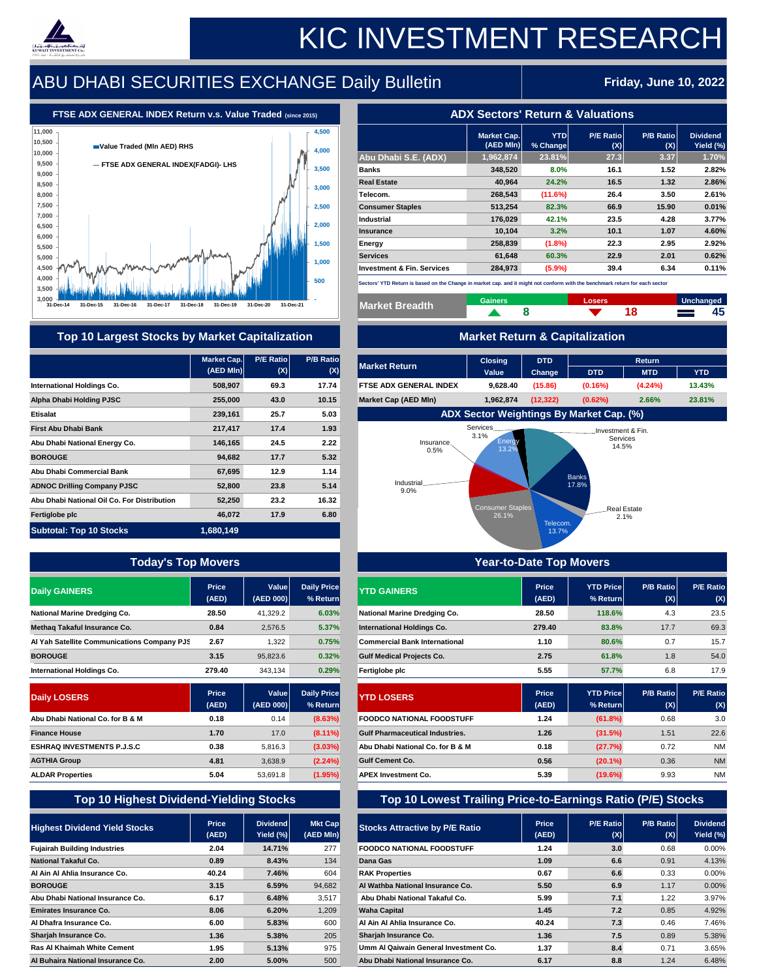|                                       | <b>Market Cap.</b><br>$(AED$ MIn $  $ | <b>YTD</b><br>% Change | <b>P/E Ratio</b><br>(X) | <b>P/B Ratio</b><br>(X) | <b>Dividend</b><br>Yield (%) |
|---------------------------------------|---------------------------------------|------------------------|-------------------------|-------------------------|------------------------------|
| Abu Dhabi S.E. (ADX)                  | 1,962,874                             | 23.81%                 | 27.3                    | 3.37                    | 1.70%                        |
| <b>Banks</b>                          | 348,520                               | 8.0%                   | 16.1                    | 1.52                    | 2.82%                        |
| <b>Real Estate</b>                    | 40,964                                | 24.2%                  | 16.5                    | 1.32                    | 2.86%                        |
| Telecom.                              | 268,543                               | (11.6%)                | 26.4                    | 3.50                    | 2.61%                        |
| <b>Consumer Staples</b>               | 513,254                               | 82.3%                  | 66.9                    | 15.90                   | 0.01%                        |
| <b>Industrial</b>                     | 176,029                               | 42.1%                  | 23.5                    | 4.28                    | 3.77%                        |
| <b>Insurance</b>                      | 10,104                                | 3.2%                   | 10.1                    | 1.07                    | 4.60%                        |
| Energy                                | 258,839                               | $(1.8\%)$              | 22.3                    | 2.95                    | 2.92%                        |
| <b>Services</b>                       | 61,648                                | 60.3%                  | 22.9                    | 2.01                    | 0.62%                        |
| <b>Investment &amp; Fin. Services</b> | 284,973                               | (5.9%)                 | 39.4                    | 6.34                    | 0.11%                        |

| <b>Market Breadth</b> | <b>Gainers</b> | <b>Losers</b> | Unchanged                                                                                            |    |
|-----------------------|----------------|---------------|------------------------------------------------------------------------------------------------------|----|
|                       |                |               | $\mathcal{L}(\mathcal{L}^{\mathcal{L}}_{\mathcal{L}})$ and $\mathcal{L}^{\mathcal{L}}_{\mathcal{L}}$ | 45 |

### **Top 10 Largest Stocks by Market Capitalization 1999 10 Market Return & Capitalization**

| <b>Market Cap.</b><br>$(AED$ MIn $)  $ | <b>P/E Ratiol</b><br>(X) | <b>P/B Ratio</b><br>(X) | <b>Market Return</b>          | <b>Closing</b><br><b>Value</b>                  | <b>DTD</b><br><b>Change</b> | <b>DTD</b> | <b>Return</b><br><b>MTD</b> | <b>YTD</b> |  |  |  |  |  |  |  |
|----------------------------------------|--------------------------|-------------------------|-------------------------------|-------------------------------------------------|-----------------------------|------------|-----------------------------|------------|--|--|--|--|--|--|--|
| 508,907                                | 69.3                     | 17.74                   | <b>FTSE ADX GENERAL INDEX</b> | 9,628.40                                        | (15.86)                     | $(0.16\%)$ | $(4.24\%)$                  | 13.43%     |  |  |  |  |  |  |  |
| 255,000                                | 43.0                     | 10.15                   | <b>Market Cap (AED MIn)</b>   | 1,962,874                                       | (12, 322)                   | $(0.62\%)$ | 2.66%                       | 23.81%     |  |  |  |  |  |  |  |
| 239,161                                | 25.7                     | 5.03                    |                               | <b>ADX Sector Weightings By Market Cap. (%)</b> |                             |            |                             |            |  |  |  |  |  |  |  |

|                                             | <b>Market Cap.</b><br>$(AED$ MIn) | <b>P/E Ratio</b> | <b>P/B Ratio</b>   |
|---------------------------------------------|-----------------------------------|------------------|--------------------|
|                                             |                                   | (X)              | (X)                |
| <b>International Holdings Co.</b>           | 508,907                           | 69.3             | 17.74              |
| <b>Alpha Dhabi Holding PJSC</b>             | 255,000                           | 43.0             | 10.15              |
| <b>Etisalat</b>                             | 239,161                           | 25.7             | 5.03               |
| <b>First Abu Dhabi Bank</b>                 | 217,417                           | 17.4             | 1.93               |
| Abu Dhabi National Energy Co.               | 146,165                           | 24.5             | 2.22               |
| <b>BOROUGE</b>                              | 94,682                            | 17.7             | 5.32               |
| <b>Abu Dhabi Commercial Bank</b>            | 67,695                            | 12.9             | 1.14               |
| <b>ADNOC Drilling Company PJSC</b>          | 52,800                            | 23.8             | 5.14               |
| Abu Dhabi National Oil Co. For Distribution | 52,250                            | 23.2             | 16.32              |
| <b>Fertiglobe plc</b>                       | 46,072                            | 17.9             | 6.80               |
| <b>Subtotal: Top 10 Stocks</b>              | 1,680,149                         |                  |                    |
|                                             | <b>Price</b>                      | <b>Value</b>     | <b>Daily Price</b> |
| <b>Daily GAINERS</b>                        | (AED)                             | <b>(AED 000)</b> | $%$ Return         |
| <b>National Marine Dredging Co.</b>         | 28.50                             | 41,329.2         | 6.03%              |
| <b>Methaq Takaful Insurance Co.</b>         | 0.84                              | 2,576.5          | 5.37%              |
| Al Yah Satellite Communications Company PJS | 2.67                              | 1,322            | 0.75%              |
| <b>BOROUGE</b>                              | 3.15                              | 95,823.6         | 0.32%              |
| <b>International Holdings Co.</b>           | 279.40                            | 343,134          | 0.29%              |
|                                             | <b>Price</b>                      | <b>Value</b>     | <b>Daily Price</b> |
| <b>Daily LOSERS</b>                         | (AED)                             | (AED 000)        | % Return           |
| Abu Dhabi National Co. for B & M            | 0.18                              | 0.14             | (8.63%)            |
| <b>Finance House</b>                        | 1.70                              | 17.0             | $(8.11\%)$         |
| <b>ESHRAQ INVESTMENTS P.J.S.C</b>           | 0.38                              | 5,816.3          | $(3.03\%)$         |
|                                             |                                   |                  |                    |

| <b>Today's Top Movers</b>                      |                       |                              |                                |                                                                    | <b>Year-to-Date Top Movers</b> |                                |                          |                              |
|------------------------------------------------|-----------------------|------------------------------|--------------------------------|--------------------------------------------------------------------|--------------------------------|--------------------------------|--------------------------|------------------------------|
| <b>Daily GAINERS</b>                           | <b>Price</b><br>(AED) | <b>Value</b><br>(AED 000)    | <b>Daily Price</b><br>% Return | <b>YTD GAINERS</b>                                                 | <b>Price</b><br>(AED)          | <b>YTD Price</b><br>$%$ Return | <b>P/B Ratio</b><br>(X)  | <b>P/E Ratio</b><br>(X)      |
| <b>National Marine Dredging Co.</b>            | 28.50                 | 41,329.2                     | 6.03%                          | <b>National Marine Dredging Co.</b>                                | 28.50                          | 118.6%                         | 4.3                      | 23.5                         |
| <b>Methaq Takaful Insurance Co.</b>            | 0.84                  | 2,576.5                      | 5.37%                          | <b>International Holdings Co.</b>                                  | 279.40                         | 83.8%                          | 17.7                     | 69.3                         |
| Al Yah Satellite Communications Company PJS    | 2.67                  | 1,322                        | 0.75%                          | <b>Commercial Bank International</b>                               | 1.10                           | 80.6%                          | 0.7                      | 15.7                         |
| <b>BOROUGE</b>                                 | 3.15                  | 95,823.6                     | 0.32%                          | <b>Gulf Medical Projects Co.</b>                                   | 2.75                           | 61.8%                          | 1.8                      | 54.0                         |
| <b>International Holdings Co.</b>              | 279.40                | 343,134                      | 0.29%                          | <b>Fertiglobe plc</b>                                              | 5.55                           | 57.7%                          | 6.8                      | 17.9                         |
| <b>Daily LOSERS</b>                            | <b>Price</b><br>(AED) | <b>Value</b><br>(AED 000)    | <b>Daily Price</b><br>% Return | <b>YTD LOSERS</b>                                                  | <b>Price</b><br>(AED)          | <b>YTD Price</b><br>$%$ Return | <b>P/B Ratiol</b><br>(X) | <b>P/E Ratio</b><br>(X)      |
| Abu Dhabi National Co. for B & M               | 0.18                  | 0.14                         | (8.63%)                        | <b>FOODCO NATIONAL FOODSTUFF</b>                                   | 1.24                           | (61.8%)                        | 0.68                     | 3.0                          |
| <b>Finance House</b>                           | 1.70                  | 17.0                         | $(8.11\%)$                     | <b>Gulf Pharmaceutical Industries.</b>                             | 1.26                           | (31.5%)                        | 1.51                     | 22.6                         |
| <b>ESHRAQ INVESTMENTS P.J.S.C</b>              | 0.38                  | 5,816.3                      | $(3.03\%)$                     | Abu Dhabi National Co. for B & M                                   | 0.18                           | (27.7%)                        | 0.72                     | <b>NM</b>                    |
| <b>AGTHIA Group</b>                            | 4.81                  | 3,638.9                      | $(2.24\%)$                     | <b>Gulf Cement Co.</b>                                             | 0.56                           | $(20.1\%)$                     | 0.36                     | <b>NM</b>                    |
| <b>ALDAR Properties</b>                        | 5.04                  | 53,691.8                     | (1.95%)                        | <b>APEX Investment Co.</b>                                         | 5.39                           | $(19.6\%)$                     | 9.93                     | <b>NM</b>                    |
| <b>Top 10 Highest Dividend-Yielding Stocks</b> |                       |                              |                                | <b>Top 10 Lowest Trailing Price-to-Earnings Ratio (P/E) Stocks</b> |                                |                                |                          |                              |
| <b>Highest Dividend Yield Stocks</b>           | <b>Price</b><br>(AED) | <b>Dividend</b><br>Yield (%) | <b>Mkt Cap</b><br>(AED MIn)    | <b>Stocks Attractive by P/E Ratio</b>                              | <b>Price</b><br>(AED)          | <b>P/E Ratiol</b><br>(X)       | <b>P/B Ratiol</b><br>(X) | <b>Dividend</b><br>Yield (%) |
| <b>Fujairah Building Industries</b>            | 2.04                  | 14.71%                       | 277                            | <b>FOODCO NATIONAL FOODSTUFF</b>                                   | 1.24                           | 3.0                            | 0.68                     | $0.00\%$                     |
| <b>National Takaful Co.</b>                    | 0.89                  | 8.43%                        | 134                            | <b>Dana Gas</b>                                                    | 1.09                           | 6.6                            | 0.91                     | 4.13%                        |
| Al Ain Al Ahlia Insurance Co.                  | 40.24                 | 7.46%                        | 604                            | <b>RAK Properties</b>                                              | 0.67                           | 6.6                            | 0.33                     | $0.00\%$                     |
| <b>BOROUGE</b>                                 | 3.15                  | 6.59%                        | 94,682                         | Al Wathba National Insurance Co.                                   | 5.50                           | 6.9                            | 1.17                     | $0.00\%$                     |
| Abu Dhabi National Insurance Co.               | 6.17                  | 6.48%                        | 3,517                          | Abu Dhabi National Takaful Co.                                     | 5.99                           | 7.1                            | 1.22                     | 3.97%                        |
| <b>Emirates Insurance Co.</b>                  | 8.06                  | 6.20%                        | 1,209                          | <b>Waha Capital</b>                                                | 1.45                           | 7.2                            | 0.85                     | 4.92%                        |
| Al Dhafra Insurance Co.                        | 6.00                  | 5.83%                        | 600                            | Al Ain Al Ahlia Insurance Co.                                      | 40.24                          | 7.3                            | 0.46                     | 7.46%                        |
| <b>Sharjah Insurance Co.</b>                   | 1.36                  | 5.38%                        | 205                            | <b>Sharjah Insurance Co.</b>                                       | 1.36                           | 7.5                            | 0.89                     | 5.38%                        |
| <b>Ras Al Khaimah White Cement</b>             | 1.95                  | 5.13%                        | 975                            | <b>Umm Al Qaiwain General Investment Co.</b>                       | 1.37                           | 8.4                            | 0.71                     | 3.65%                        |
| Al Buhaira National Insurance Co.              | 2.00                  | 5.00%                        | 500                            | Abu Dhabi National Insurance Co.                                   | 6.17                           | 8.8                            | 1.24                     | 6.48%                        |



# KIC INVESTMENT RESEARCH

### ABU DHABI SECURITIES EXCHANGE Daily Bulletin **Friday, June 10, 2022**

### **FTSE ADX GENERAL INDEX Return v.s. Value Traded (since 2015) ADX Sectors' Return & Valuations**

**Sectors' YTD Return is based on the Change in market cap. and it might not conform with the benchmark return for each sector**

Telecom.

13.7%



| 11,000           |                                      | 4,500 |
|------------------|--------------------------------------|-------|
| 10,500<br>10,000 | Value Traded (MIn AED) RHS           | 4,000 |
| 9,500            | - FTSE ADX GENERAL INDEX(FADGI)- LHS |       |
| 9,000            |                                      | 3,500 |
| 8,500<br>8,000   |                                      | 3,000 |
| 7,500            |                                      | 2,500 |
| 7,000            |                                      |       |
| 6,500<br>6,000   |                                      | 2,000 |
| 5,500            | real data d                          | 1,500 |
|                  |                                      |       |

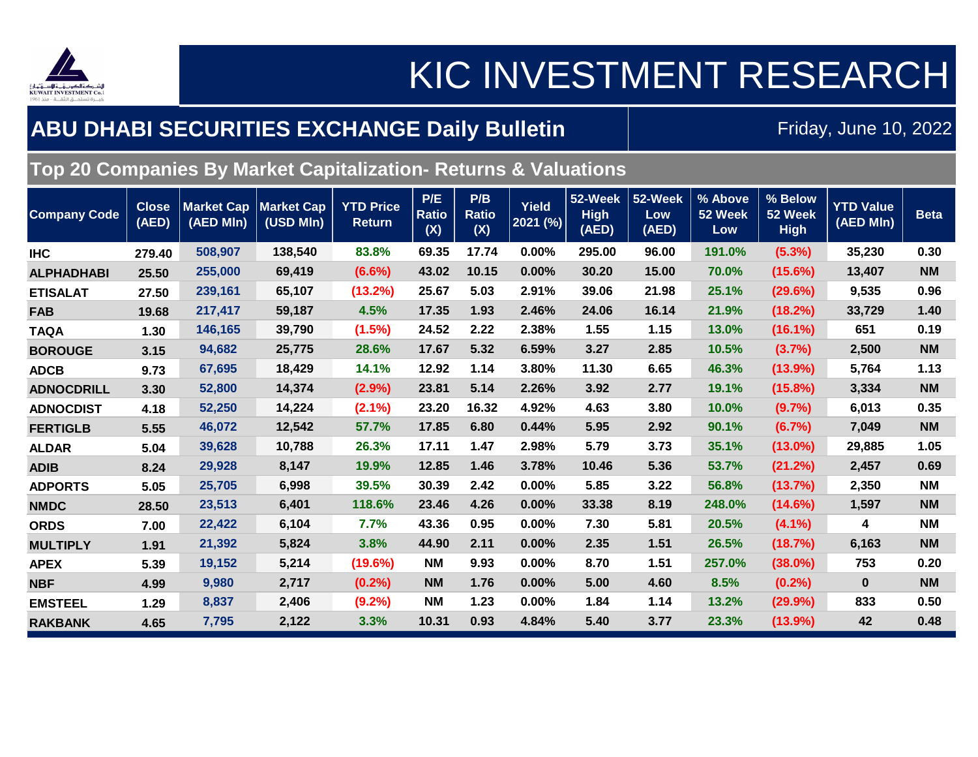

### KIC INVESTMENT RESEARCH

### **ABU DHABI SECURITIES EXCHANGE Daily Bulletin**

Friday, June 10, 2022

### **Top 20 Companies By Market Capitalization- Returns & Valuations**

| <b>Company Code</b> | <b>Close</b><br>(AED) | <b>Market Cap</b><br>(AED MIn) | <b>Market Cap</b><br>(USD MIn) | <b>YTD Price</b><br><b>Return</b> | P/E<br><b>Ratio</b><br>(X) | P/B<br><b>Ratio</b><br>(X) | <b>Yield</b><br>2021 (%) | 52-Week<br><b>High</b><br>$(AED)^{n}$ | 52-Week<br>Low<br>(AED) | % Above<br>52 Week<br>Low | % Below<br>52 Week<br><b>High</b> | <b>YTD Value</b><br>(AED MIn) | <b>Beta</b> |
|---------------------|-----------------------|--------------------------------|--------------------------------|-----------------------------------|----------------------------|----------------------------|--------------------------|---------------------------------------|-------------------------|---------------------------|-----------------------------------|-------------------------------|-------------|
| <b>IHC</b>          | 279.40                | 508,907                        | 138,540                        | 83.8%                             | 69.35                      | 17.74                      | 0.00%                    | 295.00                                | 96.00                   | 191.0%                    | (5.3%)                            | 35,230                        | 0.30        |
| <b>ALPHADHABI</b>   | 25.50                 | 255,000                        | 69,419                         | $(6.6\%)$                         | 43.02                      | 10.15                      | 0.00%                    | 30.20                                 | 15.00                   | 70.0%                     | (15.6%)                           | 13,407                        | <b>NM</b>   |
| <b>ETISALAT</b>     | 27.50                 | 239,161                        | 65,107                         | (13.2%)                           | 25.67                      | 5.03                       | 2.91%                    | 39.06                                 | 21.98                   | 25.1%                     | (29.6%)                           | 9,535                         | 0.96        |
| <b>FAB</b>          | 19.68                 | 217,417                        | 59,187                         | 4.5%                              | 17.35                      | 1.93                       | 2.46%                    | 24.06                                 | 16.14                   | 21.9%                     | (18.2%)                           | 33,729                        | 1.40        |
| <b>TAQA</b>         | 1.30                  | 146,165                        | 39,790                         | $(1.5\%)$                         | 24.52                      | 2.22                       | 2.38%                    | 1.55                                  | 1.15                    | 13.0%                     | $(16.1\%)$                        | 651                           | 0.19        |
| <b>BOROUGE</b>      | 3.15                  | 94,682                         | 25,775                         | 28.6%                             | 17.67                      | 5.32                       | 6.59%                    | 3.27                                  | 2.85                    | 10.5%                     | (3.7%)                            | 2,500                         | <b>NM</b>   |
| <b>ADCB</b>         | 9.73                  | 67,695                         | 18,429                         | 14.1%                             | 12.92                      | 1.14                       | 3.80%                    | 11.30                                 | 6.65                    | 46.3%                     | $(13.9\%)$                        | 5,764                         | 1.13        |
| <b>ADNOCDRILL</b>   | 3.30                  | 52,800                         | 14,374                         | (2.9%)                            | 23.81                      | 5.14                       | 2.26%                    | 3.92                                  | 2.77                    | 19.1%                     | (15.8%)                           | 3,334                         | <b>NM</b>   |
| <b>ADNOCDIST</b>    | 4.18                  | 52,250                         | 14,224                         | $(2.1\%)$                         | 23.20                      | 16.32                      | 4.92%                    | 4.63                                  | 3.80                    | 10.0%                     | (9.7%)                            | 6,013                         | 0.35        |
| <b>FERTIGLB</b>     | 5.55                  | 46,072                         | 12,542                         | 57.7%                             | 17.85                      | 6.80                       | 0.44%                    | 5.95                                  | 2.92                    | 90.1%                     | (6.7%)                            | 7,049                         | <b>NM</b>   |
| <b>ALDAR</b>        | 5.04                  | 39,628                         | 10,788                         | 26.3%                             | 17.11                      | 1.47                       | 2.98%                    | 5.79                                  | 3.73                    | 35.1%                     | $(13.0\%)$                        | 29,885                        | 1.05        |
| <b>ADIB</b>         | 8.24                  | 29,928                         | 8,147                          | 19.9%                             | 12.85                      | 1.46                       | 3.78%                    | 10.46                                 | 5.36                    | 53.7%                     | (21.2%)                           | 2,457                         | 0.69        |
| <b>ADPORTS</b>      | 5.05                  | 25,705                         | 6,998                          | 39.5%                             | 30.39                      | 2.42                       | 0.00%                    | 5.85                                  | 3.22                    | 56.8%                     | (13.7%)                           | 2,350                         | <b>NM</b>   |
| <b>NMDC</b>         | 28.50                 | 23,513                         | 6,401                          | 118.6%                            | 23.46                      | 4.26                       | 0.00%                    | 33.38                                 | 8.19                    | 248.0%                    | (14.6%)                           | 1,597                         | <b>NM</b>   |
| <b>ORDS</b>         | 7.00                  | 22,422                         | 6,104                          | 7.7%                              | 43.36                      | 0.95                       | 0.00%                    | 7.30                                  | 5.81                    | 20.5%                     | $(4.1\%)$                         | 4                             | <b>NM</b>   |
| <b>MULTIPLY</b>     | 1.91                  | 21,392                         | 5,824                          | 3.8%                              | 44.90                      | 2.11                       | 0.00%                    | 2.35                                  | 1.51                    | 26.5%                     | (18.7%)                           | 6,163                         | <b>NM</b>   |
| <b>APEX</b>         | 5.39                  | 19,152                         | 5,214                          | (19.6%)                           | <b>NM</b>                  | 9.93                       | 0.00%                    | 8.70                                  | 1.51                    | 257.0%                    | $(38.0\%)$                        | 753                           | 0.20        |
| <b>NBF</b>          | 4.99                  | 9,980                          | 2,717                          | (0.2%)                            | <b>NM</b>                  | 1.76                       | 0.00%                    | 5.00                                  | 4.60                    | 8.5%                      | $(0.2\%)$                         | $\mathbf{0}$                  | <b>NM</b>   |
| <b>EMSTEEL</b>      | 1.29                  | 8,837                          | 2,406                          | $(9.2\%)$                         | <b>NM</b>                  | 1.23                       | 0.00%                    | 1.84                                  | 1.14                    | 13.2%                     | (29.9%)                           | 833                           | 0.50        |
| <b>RAKBANK</b>      | 4.65                  | 7,795                          | 2,122                          | 3.3%                              | 10.31                      | 0.93                       | 4.84%                    | 5.40                                  | 3.77                    | 23.3%                     | (13.9%)                           | 42                            | 0.48        |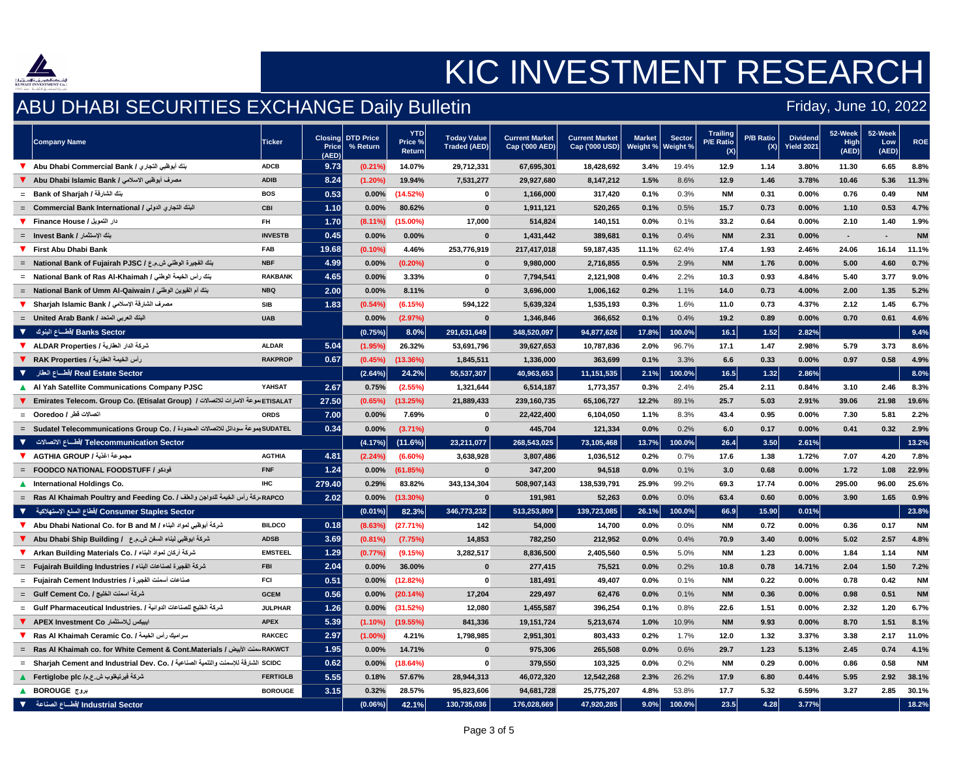

### ABU DHABI SECURITIES EXCHANGE Daily Bulletin

|                         | <b>Company Name</b>                                                                                                    | <b>Ticker</b>   | <b>Price</b><br>(AED) | <b>Closing DTD Price</b><br>% Return | <b>YTD</b><br>Price %<br><b>Return</b> | <b>Today Value</b><br><b>Traded (AED)</b> | <b>Current Market</b><br>Cap ('000 AED) | <b>Current Market</b><br>Cap ('000 USD) | <b>Market</b><br>Weight % | <b>Sector</b><br>Weight % | <b>Trailing</b><br><b>P/E Ratio</b><br>(X) | P/B Ratio<br>$(X)$ l | <b>Dividend</b><br><b>Yield 2021</b> | 52-Week<br>High<br>(AED) | 52-Week<br>Low<br>(AED) | <b>ROE</b> |
|-------------------------|------------------------------------------------------------------------------------------------------------------------|-----------------|-----------------------|--------------------------------------|----------------------------------------|-------------------------------------------|-----------------------------------------|-----------------------------------------|---------------------------|---------------------------|--------------------------------------------|----------------------|--------------------------------------|--------------------------|-------------------------|------------|
|                         | بنك أبوظبي التجاري / Abu Dhabi Commercial Bank                                                                         | <b>ADCB</b>     | 9.73                  | $(0.21\%)$                           | 14.07%                                 | 29,712,331                                | 67,695,301                              | 18,428,692                              | 3.4%                      | 19.4%                     | 12.9                                       | 1.14                 | 3.80%                                | 11.30                    | 6.65                    | 8.8%       |
|                         |                                                                                                                        | <b>ADIB</b>     | 8.24                  | $(1.20\%)$                           | 19.94%                                 | 7,531,277                                 | 29,927,680                              | 8,147,212                               | 1.5%                      | 8.6%                      | 12.9                                       | 1.46                 | 3.78%                                | 10.46                    | 5.36                    | 11.3%      |
|                         | = Bank of Sharjah / بنك الشارقة /                                                                                      | <b>BOS</b>      | 0.53                  | 0.00%                                | (14.52%)                               | $\mathbf 0$                               | 1,166,000                               | 317,420                                 | 0.1%                      | 0.3%                      | <b>NM</b>                                  | 0.31                 | 0.00%                                | 0.76                     | 0.49                    | <b>NM</b>  |
|                         | = Commercial Bank International / النبنك التجاري الدولي /                                                              | <b>CBI</b>      | 1.10                  | $0.00\%$                             | 80.62%                                 | $\mathbf{0}$                              | 1,911,121                               | 520,265                                 | 0.1%                      | 0.5%                      | 15.7                                       | 0.73                 | 0.00%                                | 1.10                     | 0.53                    | 4.7%       |
|                         |                                                                                                                        | <b>FH</b>       | 1.70                  | $(8.11\%)$                           | $(15.00\%)$                            | 17,000                                    | 514,824                                 | 140,151                                 | 0.0%                      | 0.1%                      | 33.2                                       | 0.64                 | 0.00%                                | 2.10                     | 1.40                    | 1.9%       |
|                         | =    Invest Bank /  بنك الإستثمار                                                                                      | <b>INVESTB</b>  | 0.45                  | 0.00%                                | 0.00%                                  | $\mathbf 0$                               | 1,431,442                               | 389,681                                 | 0.1%                      | 0.4%                      | <b>NM</b>                                  | 2.31                 | $0.00\%$                             | $\sim$                   |                         | <b>NM</b>  |
|                         | <b>V</b> First Abu Dhabi Bank                                                                                          | <b>FAB</b>      | 19.68                 | $(0.10\%)$                           | 4.46%                                  | 253,776,919                               | 217,417,018                             | 59,187,435                              | 11.1%                     | 62.4%                     | 17.4                                       | 1.93                 | 2.46%                                | 24.06                    | 16.14                   | 11.1%      |
|                         | = National Bank of Fujairah PJSC / جنك الفجيرة الوطني ش.م.ع /                                                          | <b>NBF</b>      | 4.99                  | 0.00%                                | $(0.20\%)$                             | $\boldsymbol{0}$                          | 9,980,000                               | 2,716,855                               | 0.5%                      | 2.9%                      | <b>NM</b>                                  | 1.76                 | $0.00\%$                             | 5.00                     | 4.60                    | 0.7%       |
|                         | = National Bank of Ras Al-Khaimah / بنك رأس الخيمة الوطني                                                              | <b>RAKBANK</b>  | 4.65                  | 0.00%                                | 3.33%                                  | $\mathbf 0$                               | 7,794,541                               | 2,121,908                               | 0.4%                      | 2.2%                      | 10.3                                       | 0.93                 | 4.84%                                | 5.40                     | 3.77                    | 9.0%       |
|                         | = National Bank of Umm Al-Qaiwain / بنك أم القيوين الوطني                                                              | <b>NBQ</b>      | 2.00                  | 0.00%                                | 8.11%                                  | $\mathbf 0$                               | 3,696,000                               | 1,006,162                               | 0.2%                      | 1.1%                      | 14.0                                       | 0.73                 | 4.00%                                | 2.00                     | 1.35                    | 5.2%       |
|                         | مصرف الشارقة الإسلامي / Sharjah Islamic Bank                                                                           | <b>SIB</b>      | 1.83                  | (0.54%)                              | (6.15%)                                | 594,122                                   | 5,639,324                               | 1,535,193                               | 0.3%                      | 1.6%                      | 11.0                                       | 0.73                 | 4.37%                                | 2.12                     | 1.45                    | 6.7%       |
|                         | = United Arab Bank / البنك العربي المتحد                                                                               | <b>UAB</b>      |                       | 0.00%                                | (2.97%)                                | $\boldsymbol{0}$                          | 1,346,846                               | 366,652                                 | 0.1%                      | 0.4%                      | $19.2$                                     | 0.89                 | 0.00%                                | 0.70                     | 0.61                    | 4.6%       |
| $\overline{\mathbf{v}}$ | ا Banks Sector /قطـــاع البنوك                                                                                         |                 |                       | (0.75%)                              | $8.0\%$                                | 291,631,649                               | 348,520,097                             | 94,877,626                              | 17.8%                     | $100.0\%$                 | 16.1                                       | 1.52                 | 2.82%                                |                          |                         | 9.4%       |
|                         | شركة الدار العقارية / ALDAR Properties                                                                                 | <b>ALDAR</b>    | 5.04                  | (1.95%                               | 26.32%                                 | 53,691,796                                | 39,627,653                              | 10,787,836                              | 2.0%                      | 96.7%                     | 17.1                                       | 1.47                 | 2.98%                                | 5.79                     | 3.73                    | 8.6%       |
|                         | رأس الخيمة العقارية / RAK Properties .                                                                                 | <b>RAKPROP</b>  | 0.67                  | $(0.45\%)$                           | $(13.36\%)$                            | 1,845,511                                 | 1,336,000                               | 363,699                                 | 0.1%                      | 3.3%                      | 6.6                                        | 0.33                 | $0.00\%$                             | 0.97                     | 0.58                    | 4.9%       |
|                         | Real Estate Sector /قطـــاع العقار → ▼                                                                                 |                 |                       | (2.64%)                              | 24.2%                                  | 55,537,307                                | 40,963,653                              | 11,151,535                              | 2.1%                      | $100.0\%$                 | 16.5                                       | 1.32                 | 2.86%                                |                          |                         | 8.0%       |
|                         | Al Yah Satellite Communications Company PJSC                                                                           | <b>YAHSAT</b>   | 2.67                  | 0.75%                                | (2.55%)                                | 1,321,644                                 | 6,514,187                               | 1,773,357                               | 0.3%                      | 2.4%                      | 25.4                                       | 2.11                 | 0.84%                                | 3.10                     | 2.46                    | 8.3%       |
|                         | ETISALATط عوعة الامارات للاتصالات /   Emirates Telecom. Group Co. (Etisalat Group)   الموعة الامارات للاتصالات         |                 | 27.50                 | (0.65%)                              | (13.25%)                               | 21,889,433                                | 239,160,735                             | 65,106,727                              | 12.2%                     | 89.1%                     | 25.7                                       | 5.03                 | 2.91%                                | 39.06                    | 21.98                   | 19.6%      |
|                         | اتصالات قطر / Ooredoo    =                                                                                             | <b>ORDS</b>     | 7.00                  | 0.00%                                | 7.69%                                  | $\bf{0}$                                  | 22,422,400                              | 6,104,050                               | 1.1%                      | 8.3%                      | 43.4                                       | 0.95                 | 0.00%                                | 7.30                     | 5.81                    | 2.2%       |
|                         | = SUDATEL بعوعة سوداتل للاتصالات المحدودة / .Sudatel Telecommunications Group Co                                       |                 | 0.34                  | $0.00\%$                             | $(3.71\%)$                             | $\bf{0}$                                  | 445,704                                 | 121,334                                 | 0.0%                      | 0.2%                      | 6.0                                        | 0.17                 | $0.00\%$                             | 0.41                     | 0.32                    | 2.9%       |
|                         | َفطَـــاع الاتصالات     ▼             V لأطـــاع الاتصالات       ▼                                                     |                 |                       | (4.17%)                              | $(11.6\%)$                             | 23,211,077                                | 268,543,025                             | 73,105,468                              | 13.7%                     | 100.0%                    | 26.4                                       | 3.50                 | 2.61%                                |                          |                         | 13.2%      |
|                         | AGTHIA GROUP / مجموعة اغذية                                                                                            | <b>AGTHIA</b>   | 4.81                  | (2.24%)                              | $(6.60\%)$                             | 3,638,928                                 | 3,807,486                               | 1,036,512                               | 0.2%                      | 0.7%                      | 17.6                                       | 1.38                 | 1.72%                                | 7.07                     | 4.20                    | 7.8%       |
|                         | = FOODCO NATIONAL FOODSTUFF / فودكو                                                                                    | <b>FNF</b>      | 1.24                  | $0.00\%$                             | (61.85%)                               |                                           | 347,200                                 | 94,518                                  | 0.0%                      | 0.1%                      | 3.0                                        | 0.68                 | 0.00%                                | 1.72                     | 1.08                    | 22.9%      |
|                         | A International Holdings Co.                                                                                           | <b>IHC</b>      | 279.40                | 0.29%                                | 83.82%                                 | 343,134,304                               | 508,907,143                             | 138,539,791                             | 25.9%                     | 99.2%                     | 69.3                                       | 17.74                | $0.00\%$                             | 295.00                   | 96.00                   | 25.6%      |
|                         | = RAPCO مركة رأس الخيمة للدواجن والعلف RAPCO المركة رأس الخيمة للدواجن والعلف Ras Al Khaimah Poultry and Feeding Co. / |                 | 2.02                  | $0.00\%$                             | $(13.30\%)$                            |                                           | 191,981                                 | 52,263                                  | 0.0%                      | 0.0%                      | 63.4                                       | 0.60                 | 0.00%                                | 3.90                     | 1.65                    | 0.9%       |
|                         | افطاع السلع الإستهلاكية " V Consumer Staples Sector ) تقطاع السلع الإستهلاكية ا                                        |                 |                       | $(0.01\%)$                           | 82.3%                                  | 346,773,232                               | 513,253,809                             | 139,723,085                             | 26.1%                     | $100.0\%$                 | 66.9                                       | 15.90                | 0.01%                                |                          |                         | 23.8%      |
|                         | شركة أبوظبي لمواد البناء / Abu Dhabi National Co. for B and M                                                          | <b>BILDCO</b>   | 0.18                  | (8.63%                               | (27.71%)                               | 142                                       | 54,000                                  | 14,700                                  | 0.0%                      | 0.0%                      | <b>NM</b>                                  | 0.72                 | 0.00%                                | 0.36                     | 0.17                    | <b>NM</b>  |
|                         | شركة ابوظبي لبناء السفن ش.م.ع    / Abu Dhabi Ship Building     ♦                                                       | <b>ADSB</b>     | 3.69                  | $(0.81\%)$                           | (7.75%)                                | 14,853                                    | 782,250                                 | 212,952                                 | 0.0%                      | 0.4%                      | 70.9                                       | 3.40                 | $0.00\%$                             | 5.02                     | 2.57                    | 4.8%       |
|                         | شركة أركان لمواد البناء / .Arkan Building Materials Co                                                                 | <b>EMSTEEL</b>  | 1.29                  | $(0.77\%)$                           | (9.15%)                                | 3,282,517                                 | 8,836,500                               | 2,405,560                               | 0.5%                      | 5.0%                      | <b>NM</b>                                  | 1.23                 | $0.00\%$                             | 1.84                     | 1.14                    | <b>NM</b>  |
|                         |                                                                                                                        | <b>FBI</b>      | 2.04                  | $0.00\%$                             | 36.00%                                 |                                           | 277,415                                 | 75,521                                  | 0.0%                      | 0.2%                      | 10.8                                       | 0.78                 | 14.71%                               | 2.04                     | 1.50                    | 7.2%       |
|                         | = Fujairah Cement Industries / صناعات أسمنت الفجيرة                                                                    | <b>FCI</b>      | 0.51                  | $0.00\%$                             | (12.82%)                               |                                           | 181,491                                 | 49,407                                  | 0.0%                      | 0.1%                      | <b>NM</b>                                  | 0.22                 | 0.00%                                | 0.78                     | 0.42                    | <b>NM</b>  |
|                         | شركة اسمنت الخليج / .Gulf Cement Co                                                                                    | <b>GCEM</b>     | 0.56                  |                                      | $0.00\%$ (20.14%)                      | 17,204                                    | 229,497                                 | 62,476                                  | 0.0%                      | 0.1%                      | <b>NM</b>                                  | 0.36                 | $0.00\%$                             | 0.98                     | 0.51                    | <b>NM</b>  |
|                         | = Culf Pharmaceutical Industries. / شركة الخليج للصناعات الدوائية                                                      | <b>JULPHAR</b>  | 1.26                  | $0.00\%$                             | (31.52%)                               | 12,080                                    | 1,455,587                               | 396,254                                 | 0.1%                      | 0.8%                      | 22.6                                       | 1.51                 | $0.00\%$                             | 2.32                     | 1.20                    | 6.7%       |
|                         | ايبيكس للاستثمار APEX Investment Co                                                                                    | <b>APEX</b>     | 5.39                  | $(1.10\%)$                           | $(19.55\%)$                            | 841,336                                   | 19,151,724                              | 5,213,674                               | 1.0%                      | 10.9%                     | <b>NM</b>                                  | 9.93                 | $0.00\%$                             | 8.70                     | $1.51$                  | 8.1%       |
|                         | ▼ Ras Al Khaimah Ceramic Co. / سراميك رأس الخيمة /                                                                     | <b>RAKCEC</b>   | 2.97                  | $(1.00\%)$                           | 4.21%                                  | 1,798,985                                 | 2,951,301                               | 803,433                                 | 0.2%                      | 1.7%                      | 12.0                                       | 1.32                 | 3.37%                                | 3.38                     | 2.17                    | 11.0%      |
|                         | = RAKWCT سنت الأبيض / RAKWCT Ras Al Khaimah co. for White Cement & Cont.Materials                                      |                 | 1.95                  | $0.00\%$                             | 14.71%                                 | $\mathbf{0}$                              | 975,306                                 | 265,508                                 | 0.0%                      | 0.6%                      | 29.7                                       | 1.23                 | 5.13%                                | 2.45                     | 0.74                    | 4.1%       |
|                         | SCIDC الشارقة للإسمنت والتنمية الصناعية / .Sharjah Cement and Industrial Dev. Co. / الشارقة للإسمنت والتنمية           |                 | 0.62                  | $0.00\%$                             | (18.64%)                               | $\mathbf{0}$                              | 379,550                                 | 103,325                                 | $0.0\%$                   | 0.2%                      | <b>NM</b>                                  | 0.29                 | $0.00\%$                             | 0.86                     | 0.58                    | <b>NM</b>  |
|                         |                                                                                                                        | <b>FERTIGLB</b> | 5.55                  | 0.18%                                | 57.67%                                 | 28,944,313                                | 46,072,320                              | 12,542,268                              | 2.3%                      | 26.2%                     | 17.9                                       | 6.80                 | 0.44%                                | 5.95                     | 2.92                    | 38.1%      |
|                         | K BOROUGE بروج                                                                                                         | <b>BOROUGE</b>  | 3.15                  | 0.32%                                | 28.57%                                 | 95,823,606                                | 94,681,728                              | 25,775,207                              | 4.8%                      | 53.8%                     | 17.7                                       | 5.32                 | 6.59%                                | 3.27                     | 2.85                    | 30.1%      |
|                         | Mdustrial Sector /فطّــاع الصناعة → ▼                                                                                  |                 |                       | $(0.06\%)$                           | 42.1%                                  | 130,735,036                               | 176,028,669                             | 47,920,285                              | $9.0\%$                   | $100.0\%$                 | 23.5                                       | 4.28                 | 3.77%                                |                          |                         | 18.2%      |

### Friday, June 10, 2022

## KIC INVESTMENT RESEARCH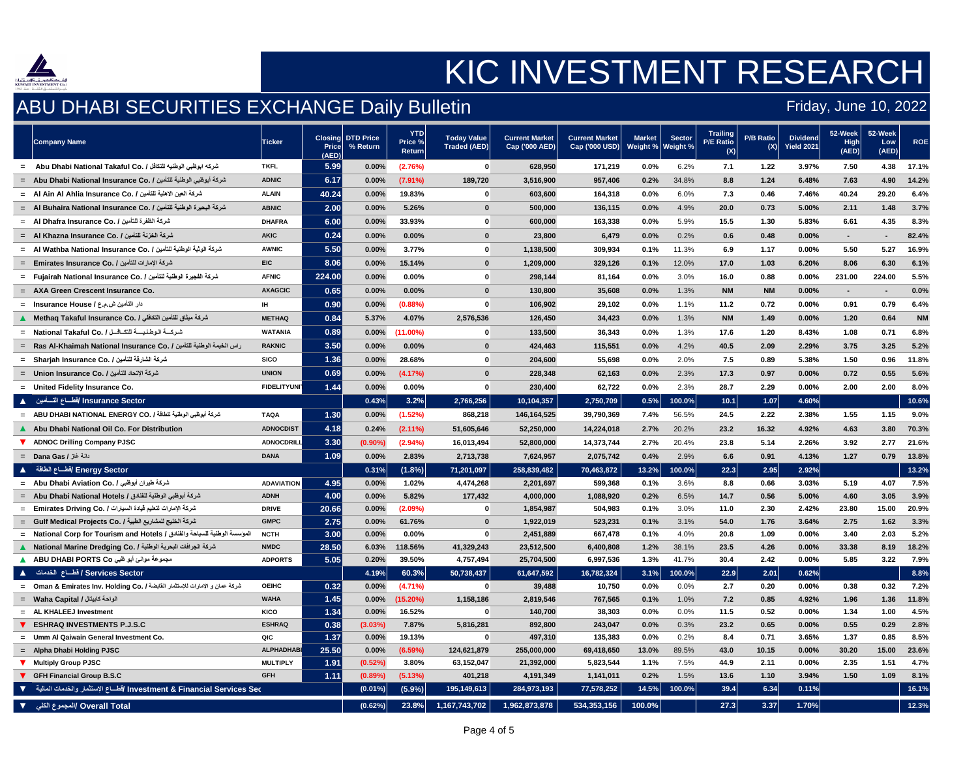

### ABU DHABI SECURITIES EXCHANGE Daily Bulletin

### Friday, June 10, 2022

## KIC INVESTMENT RESEARCH

|          | <b>Company Name</b>                                                                                  | <b>Ticker</b>      | <b>Price</b><br>(AED) | <b>Closing DTD Price</b><br>% Return | <b>YTD</b><br>Price %<br><b>Return</b> | <b>Today Value</b><br>Traded (AED) | <b>Current Market</b><br>Cap ('000 AED) | <b>Current Market</b><br>Cap ('000 USD) | Market<br>Weight % | <b>Sector</b><br>Weight % | <b>Trailing</b><br><b>P/E Ratio</b><br>(X) | P/B Ratio<br>$(X)$ l | <b>Dividend</b><br><b>Yield 2021</b> | 52-Week<br>High<br>(AED) | 52-Week<br>Low<br>(AED) | <b>ROE</b> |
|----------|------------------------------------------------------------------------------------------------------|--------------------|-----------------------|--------------------------------------|----------------------------------------|------------------------------------|-----------------------------------------|-----------------------------------------|--------------------|---------------------------|--------------------------------------------|----------------------|--------------------------------------|--------------------------|-------------------------|------------|
|          |                                                                                                      | <b>TKFL</b>        | 5.99                  | 0.00%                                | (2.76%)                                |                                    | 628,950                                 | 171,219                                 | 0.0%               | 6.2%                      | 7.1                                        | 1.22                 | 3.97%                                | 7.50                     | 4.38                    | 17.1%      |
|          |                                                                                                      | <b>ADNIC</b>       | 6.17                  | 0.00%                                | $(7.91\%)$                             | 189,720                            | 3,516,900                               | 957,406                                 | 0.2%               | 34.8%                     | 8.8                                        | 1.24                 | 6.48%                                | 7.63                     | 4.90                    | 14.2%      |
|          | = Al Ain Al Ahlia Insurance Co. / شركة العين الاهلية للتأمين /                                       | <b>ALAIN</b>       | 40.24                 | 0.00%                                | 19.83%                                 | $\bf{0}$                           | 603,600                                 | 164,318                                 | 0.0%               | 6.0%                      | 7.3                                        | 0.46                 | 7.46%                                | 40.24                    | 29.20                   | 6.4%       |
|          | = Al Buhaira National Insurance Co. / شركة البحيرة الوطنية للتأمين                                   | <b>ABNIC</b>       | 2.00                  | 0.00%                                | 5.26%                                  | $\mathbf{0}$                       | 500,000                                 | 136,115                                 | 0.0%               | 4.9%                      | 20.0                                       | 0.73                 | 5.00%                                | 2.11                     | 1.48                    | 3.7%       |
|          | = Al Dhafra Insurance Co. / شركة الظفرة للتأمين Al Dhafra Insurance Co. /                            | <b>DHAFRA</b>      | 6.00                  | 0.00%                                | 33.93%                                 | $\mathbf 0$                        | 600,000                                 | 163,338                                 | 0.0%               | 5.9%                      | 15.5                                       | 1.30                 | 5.83%                                | 6.61                     | 4.35                    | 8.3%       |
|          | = Al Khazna Insurance Co. / شركة الخزنة للتأمين —                                                    | <b>AKIC</b>        | 0.24                  | 0.00%                                | 0.00%                                  | $\bf{0}$                           | 23,800                                  | 6,479                                   | 0.0%               | 0.2%                      | 0.6                                        | 0.48                 | $0.00\%$                             | $\sim$                   |                         | 82.4%      |
|          | = Al Wathba National Insurance Co. / شركة الوثبة الوطنية للتأمين                                     | <b>AWNIC</b>       | 5.50                  | 0.00%                                | 3.77%                                  | $\mathbf{0}$                       | 1,138,500                               | 309,934                                 | 0.1%               | 11.3%                     | 6.9                                        | 1.17                 | $0.00\%$                             | 5.50                     | 5.27                    | 16.9%      |
|          | = Emirates Insurance Co. / شركة الإمارات للتأمين                                                     | <b>EIC</b>         | 8.06                  | 0.00%                                | 15.14%                                 | $\mathbf{0}$                       | 1,209,000                               | 329,126                                 | 0.1%               | 12.0%                     | 17.0                                       | 1.03                 | 6.20%                                | 8.06                     | 6.30                    | 6.1%       |
|          |                                                                                                      | <b>AFNIC</b>       | 224.00                | 0.00%                                | $0.00\%$                               | $\mathbf{0}$                       | 298,144                                 | 81,164                                  | 0.0%               | 3.0%                      | 16.0                                       | 0.88                 | 0.00%                                | 231.00                   | 224.00                  | 5.5%       |
|          | = AXA Green Crescent Insurance Co.                                                                   | <b>AXAGCIC</b>     | 0.65                  | 0.00%                                | 0.00%                                  | $\bf{0}$                           | 130,800                                 | 35,608                                  | 0.0%               | 1.3%                      | <b>NM</b>                                  | <b>NM</b>            | $0.00\%$                             | $\sim$                   |                         | 0.0%       |
|          | دار التأمين ش.م.ع / Insurance House =                                                                | <b>IH</b>          | 0.90                  | 0.00%                                | (0.88%)                                | $\bf{0}$                           | 106,902                                 | 29,102                                  | 0.0%               | 1.1%                      | $11.2$                                     | 0.72                 | $0.00\%$                             | 0.91                     | 0.79                    | 6.4%       |
|          | شركة ميثاق للتأمين التكافلي / Methaq Takaful Insurance Co. /                                         | <b>METHAQ</b>      | 0.84                  | 5.37%                                | 4.07%                                  | 2,576,536                          | 126,450                                 | 34,423                                  | 0.0%               | 1.3%                      | <b>NM</b>                                  | 1.49                 | 0.00%                                | 1.20                     | 0.64                    | <b>NM</b>  |
|          |                                                                                                      | <b>WATANIA</b>     | 0.89                  | 0.00%                                | $(11.00\%)$                            | $\mathbf{0}$                       | 133,500                                 | 36,343                                  | 0.0%               | 1.3%                      | 17.6                                       | 1.20                 | 8.43%                                | 1.08                     | 0.71                    | 6.8%       |
|          | = Ras Al-Khaimah National Insurance Co. / راس الخيمة الوطنية للتأمين                                 | <b>RAKNIC</b>      | 3.50                  | 0.00%                                | 0.00%                                  | $\bf{0}$                           | 424,463                                 | 115,551                                 | 0.0%               | 4.2%                      | 40.5                                       | 2.09                 | 2.29%                                | 3.75                     | 3.25                    | 5.2%       |
|          | = Sharjah Insurance Co. / شركة الشارقة للتأمين                                                       | <b>SICO</b>        | 1.36                  | $0.00\%$                             | 28.68%                                 | $\mathbf 0$                        | 204,600                                 | 55,698                                  | 0.0%               | 2.0%                      | 7.5                                        | 0.89                 | 5.38%                                | 1.50                     | 0.96                    | 11.8%      |
|          | = Union Insurance Co. / شركة الإتحاد للتأمين                                                         | <b>UNION</b>       | 0.69                  | $0.00\%$                             | (4.17%)                                | $\bf{0}$                           | 228,348                                 | 62,163                                  | 0.0%               | 2.3%                      | 17.3                                       | 0.97                 | $0.00\%$                             | 0.72                     | 0.55                    | 5.6%       |
|          | = United Fidelity Insurance Co.                                                                      | <b>FIDELITYUNI</b> | 1.44                  | 0.00%                                | $0.00\%$                               |                                    | 230,400                                 | 62,722                                  | 0.0%               | 2.3%                      | 28.7                                       | 2.29                 | $0.00\%$                             | 2.00                     | 2.00                    | 8.0%       |
|          | Insurance Sector القطساع التسأمين → ▲                                                                |                    |                       | 0.43%                                | 3.2%                                   | 2,766,256                          | 10,104,357                              | 2,750,709                               | 0.5%               | $100.0\%$                 | 10.1                                       | 1.07                 | 4.60%                                |                          |                         | 10.6%      |
|          | = ABU DHABI NATIONAL ENERGY CO. / شركة أبوظبي الوطنية للطاقة /                                       | <b>TAQA</b>        | 1.30                  | 0.00%                                | (1.52%)                                | 868,218                            | 146,164,525                             | 39,790,369                              | 7.4%               | 56.5%                     | 24.5                                       | 2.22                 | 2.38%                                | 1.55                     | 1.15                    | 9.0%       |
|          | A Abu Dhabi National Oil Co. For Distribution                                                        | <b>ADNOCDIST</b>   | 4.18                  | 0.24%                                | $(2.11\%)$                             | 51,605,646                         | 52,250,000                              | 14,224,018                              | 2.7%               | 20.2%                     | 23.2                                       | 16.32                | 4.92%                                | 4.63                     | 3.80                    | 70.3%      |
|          | ADNOC Drilling Company PJSC                                                                          | ADNOCDRILL         | 3.30                  | $(0.90\%)$                           | (2.94%)                                | 16,013,494                         | 52,800,000                              | 14,373,744                              | 2.7%               | 20.4%                     | 23.8                                       | 5.14                 | 2.26%                                | 3.92                     | 2.77                    | 21.6%      |
|          |                                                                                                      | <b>DANA</b>        | 1.09                  | 0.00%                                | 2.83%                                  | 2,713,738                          | 7,624,957                               | 2,075,742                               | 0.4%               | 2.9%                      | 6.6                                        | 0.91                 | 4.13%                                | 1.27                     | 0.79                    | 13.8%      |
|          | Energy Sector /قطساع الطاقة     ▲                                                                    |                    |                       | 0.31%                                | $(1.8\%)$                              | 71,201,097                         | 258,839,482                             | 70,463,872                              | 13.2%              | $100.0\%$                 | 22.3                                       | 2.95                 | 2.92%                                |                          |                         | 13.2%      |
|          | = Abu Dhabi Aviation Co. / شركة طيران أبوظبي                                                         | <b>ADAVIATION</b>  | 4.95                  | 0.00%                                | 1.02%                                  | 4,474,268                          | 2,201,697                               | 599,368                                 | 0.1%               | 3.6%                      | 8.8                                        | 0.66                 | 3.03%                                | 5.19                     | 4.07                    | 7.5%       |
|          |                                                                                                      | <b>ADNH</b>        | 4.00                  | 0.00%                                | 5.82%                                  | 177,432                            | 4,000,000                               | 1,088,920                               | 0.2%               | 6.5%                      | 14.7                                       | 0.56                 | 5.00%                                | 4.60                     | 3.05                    | 3.9%       |
|          | =     Emirates Driving Co. / لتعليم فيادة السيارات ـ   Emirates Driving Co. /                        | <b>DRIVE</b>       | 20.66                 | 0.00%                                | $(2.09\%)$                             | $\boldsymbol{0}$                   | 1,854,987                               | 504,983                                 | 0.1%               | 3.0%                      | 11.0                                       | 2.30                 | 2.42%                                | 23.80                    | 15.00                   | 20.9%      |
|          | = Gulf Medical Projects Co. / شركة الخليج للمشاريع الطبية                                            | <b>GMPC</b>        | 2.75                  | 0.00%                                | 61.76%                                 | $\mathbf{0}$                       | 1,922,019                               | 523,231                                 | 0.1%               | 3.1%                      | 54.0                                       | 1.76                 | 3.64%                                | 2.75                     | 1.62                    | 3.3%       |
|          |                                                                                                      | <b>NCTH</b>        | 3.00                  | 0.00%                                | $0.00\%$                               | $\mathbf{0}$                       | 2,451,889                               | 667,478                                 | 0.1%               | 4.0%                      | 20.8                                       | 1.09                 | $0.00\%$                             | 3.40                     | 2.03                    | 5.2%       |
|          | شركة الجرافات البحرية الوطنية / .National Marine Dredging Co                                         | <b>NMDC</b>        | 28.50                 | 6.03%                                | 118.56%                                | 41,329,243                         | 23,512,500                              | 6,400,808                               | 1.2%               | 38.1%                     | 23.5                                       | 4.26                 | 0.00%                                | 33.38                    | 8.19                    | 18.2%      |
|          | ـمجموعة موانئ أبو ظبي ABU DHABI PORTS Co                                                             | <b>ADPORTS</b>     | 5.05                  | 0.20%                                | 39.50%                                 | 4,757,494                          | 25,704,500                              | 6,997,536                               | 1.3%               | 41.7%                     | 30.4                                       | 2.42                 | $0.00\%$                             | 5.85                     | 3.22                    | 7.9%       |
|          | / Services Sector / فَطْــاع الْـخْدمات ( )                                                          |                    |                       | 4.19%                                | 60.3%                                  | 50,738,437                         | 61,647,592                              | 16,782,324                              | 3.1%               | $100.0\%$                 | 22.9                                       | 2.01                 | 0.62%                                |                          |                         | 8.8%       |
|          | m شركة عمان و الإمارات للإستثمار القابضة / Oman & Emirates Inv. Holding Co. / ــــــــــــــــــــــ | <b>OEIHC</b>       | 0.32                  | $0.00\%$                             | $(4.71\%)$                             |                                    | 39,488                                  | 10,750                                  | 0.0%               | 0.0%                      | 2.7                                        | 0.20                 | $0.00\%$                             | 0.38                     | 0.32                    | 7.2%       |
|          |                                                                                                      | <b>WAHA</b>        | 1.45                  | $0.00\%$                             | $(15.20\%)$                            | 1,158,186                          | 2,819,546                               | 767,565                                 | 0.1%               | 1.0%                      | 7.2                                        | 0.85                 | 4.92%                                | 1.96                     | 1.36                    | 11.8%      |
|          | $=$ AL KHALEEJ Investment                                                                            | <b>KICO</b>        | 1.34                  | $0.00\%$                             | 16.52%                                 |                                    | 140,700                                 | 38,303                                  | $0.0\%$            | $0.0\%$                   | 11.5                                       | 0.52                 | $0.00\%$                             | 1.34                     | 1.00                    | 4.5%       |
|          | <b>ESHRAQ INVESTMENTS P.J.S.C</b>                                                                    | <b>ESHRAQ</b>      | 0.38                  | (3.03%)                              | 7.87%                                  | 5,816,281                          | 892,800                                 | 243,047                                 | 0.0%               | 0.3%                      | 23.2                                       | 0.65                 | $0.00\%$                             | 0.55                     | 0.29                    | 2.8%       |
|          | $=$ Umm Al Qaiwain General Investment Co.                                                            | QIC                | 1.37                  | $0.00\%$                             | 19.13%                                 |                                    | 497,310                                 | 135,383                                 | $0.0\%$            | 0.2%                      | 8.4                                        | 0.71                 | 3.65%                                | 1.37                     | 0.85                    | 8.5%       |
|          | = Alpha Dhabi Holding PJSC                                                                           | <b>ALPHADHABI</b>  | 25.50                 | $0.00\%$                             | (6.59%)                                | 124,621,879                        | 255,000,000                             | 69,418,650                              | 13.0%              | 89.5%                     | 43.0                                       | 10.15                | $0.00\%$                             | 30.20                    | 15.00                   | 23.6%      |
|          | <b>Multiply Group PJSC</b>                                                                           | <b>MULTIPLY</b>    | 1.91                  | (0.52%)                              | 3.80%                                  | 63,152,047                         | 21,392,000                              | 5,823,544                               | 1.1%               | 7.5%                      | 44.9                                       | 2.11                 | $0.00\%$                             | 2.35                     | 1.51                    | 4.7%       |
|          | GFH Financial Group B.S.C                                                                            | <b>GFH</b>         | 1.11                  | $(0.89\%)$                           | (5.13%)                                | 401,218                            | 4,191,349                               | 1,141,011                               | 0.2%               | 1.5%                      | 13.6                                       | 1.10                 | 3.94%                                | 1.50                     | 1.09                    | 8.1%       |
| <b>V</b> | Investment & Financial Services Sec القطساع الإستثمار والخدمات المالية                               |                    |                       | $(0.01\%)$                           | $(5.9\%)$                              | 195,149,613                        | 284,973,193                             | 77,578,252                              | 14.5%              | $100.0\%$                 | 39.4                                       | 6.34                 | 0.11%                                |                          |                         | 16.1%      |
|          | المجموع الكلي V Overall Total                                                                        |                    |                       | (0.62%)                              | 23.8%                                  | 1,167,743,702                      | 1,962,873,878                           | 534,353,156                             | $ 100.0\% $        |                           | 27.3                                       | 3.37                 | 1.70%                                |                          |                         | 12.3%      |